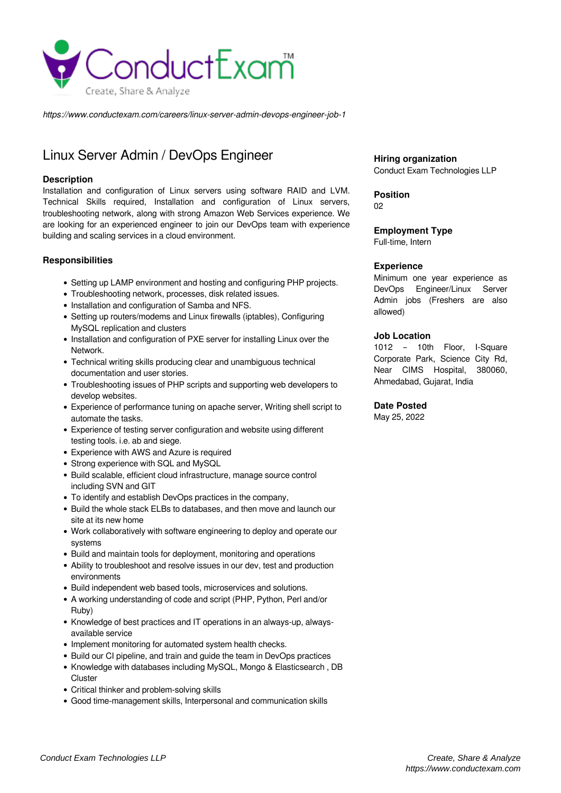

*https://www.conductexam.com/careers/linux-server-admin-devops-engineer-job-1*

# Linux Server Admin / DevOps Engineer

## **Description**

Installation and configuration of Linux servers using software RAID and LVM. Technical Skills required, Installation and configuration of Linux servers, troubleshooting network, along with strong Amazon Web Services experience. We are looking for an experienced engineer to join our DevOps team with experience building and scaling services in a cloud environment.

# **Responsibilities**

- Setting up LAMP environment and hosting and configuring PHP projects.
- Troubleshooting network, processes, disk related issues.
- Installation and configuration of Samba and NFS.
- Setting up routers/modems and Linux firewalls (iptables), Configuring MySQL replication and clusters
- Installation and configuration of PXE server for installing Linux over the Network.
- Technical writing skills producing clear and unambiguous technical documentation and user stories.
- Troubleshooting issues of PHP scripts and supporting web developers to develop websites.
- Experience of performance tuning on apache server, Writing shell script to automate the tasks.
- Experience of testing server configuration and website using different testing tools. i.e. ab and siege.
- Experience with AWS and Azure is required
- Strong experience with SQL and MySQL
- Build scalable, efficient cloud infrastructure, manage source control including SVN and GIT
- To identify and establish DevOps practices in the company,
- Build the whole stack ELBs to databases, and then move and launch our site at its new home
- Work collaboratively with software engineering to deploy and operate our systems
- Build and maintain tools for deployment, monitoring and operations
- Ability to troubleshoot and resolve issues in our dev, test and production environments
- Build independent web based tools, microservices and solutions.
- A working understanding of code and script (PHP, Python, Perl and/or Ruby)
- Knowledge of best practices and IT operations in an always-up, alwaysavailable service
- Implement monitoring for automated system health checks.
- Build our CI pipeline, and train and guide the team in DevOps practices
- Knowledge with databases including MySQL, Mongo & Elasticsearch, DB **Cluster**
- Critical thinker and problem-solving skills
- Good time-management skills, Interpersonal and communication skills

**Hiring organization** Conduct Exam Technologies LLP

**Position**

 $02$ 

# **Employment Type**

Full-time, Intern

#### **Experience**

Minimum one year experience as DevOps Engineer/Linux Server Admin jobs (Freshers are also allowed)

## **Job Location**

1012 – 10th Floor, I-Square Corporate Park, Science City Rd, Near CIMS Hospital, 380060, Ahmedabad, Gujarat, India

## **Date Posted**

May 25, 2022